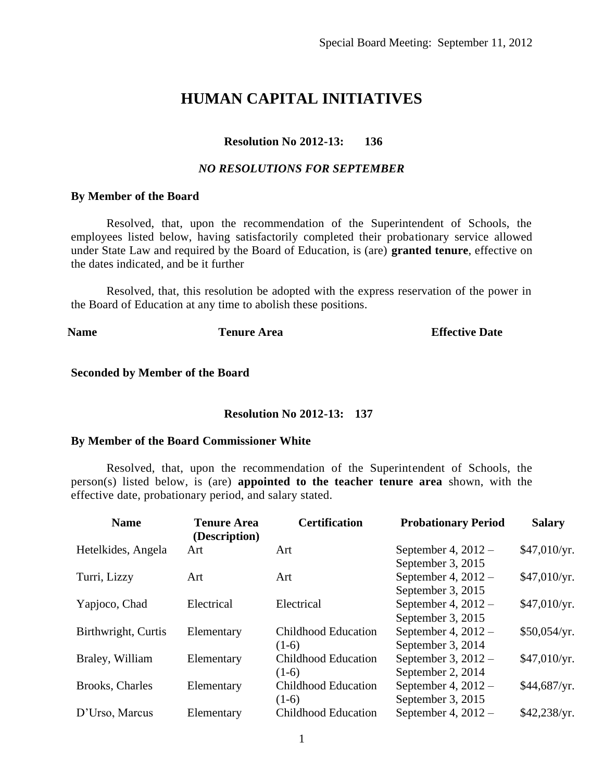# **HUMAN CAPITAL INITIATIVES**

## **Resolution No 2012-13: 136**

#### *NO RESOLUTIONS FOR SEPTEMBER*

#### **By Member of the Board**

Resolved, that, upon the recommendation of the Superintendent of Schools, the employees listed below, having satisfactorily completed their probationary service allowed under State Law and required by the Board of Education, is (are) **granted tenure**, effective on the dates indicated, and be it further

Resolved, that, this resolution be adopted with the express reservation of the power in the Board of Education at any time to abolish these positions.

**Name Tenure Area Effective Date Effective Date** 

#### **Seconded by Member of the Board**

#### **Resolution No 2012-13: 137**

#### **By Member of the Board Commissioner White**

Resolved, that, upon the recommendation of the Superintendent of Schools, the person(s) listed below, is (are) **appointed to the teacher tenure area** shown, with the effective date, probationary period, and salary stated.

| <b>Name</b>         | <b>Tenure Area</b><br>(Description) | <b>Certification</b>       | <b>Probationary Period</b> | <b>Salary</b> |
|---------------------|-------------------------------------|----------------------------|----------------------------|---------------|
| Hetelkides, Angela  | Art                                 | Art                        | September 4, $2012 -$      | \$47,010/yr.  |
|                     |                                     |                            | September 3, 2015          |               |
| Turri, Lizzy        | Art                                 | Art                        | September 4, $2012 -$      | \$47,010/yr.  |
|                     |                                     |                            | September 3, 2015          |               |
| Yapjoco, Chad       | Electrical                          | Electrical                 | September 4, $2012 -$      | \$47,010/yr.  |
|                     |                                     |                            | September 3, 2015          |               |
| Birthwright, Curtis | Elementary                          | <b>Childhood Education</b> | September 4, $2012 -$      | \$50,054/yr.  |
|                     |                                     | $(1-6)$                    | September 3, 2014          |               |
| Braley, William     | Elementary                          | <b>Childhood Education</b> | September 3, $2012 -$      | \$47,010/yr.  |
|                     |                                     | $(1-6)$                    | September 2, 2014          |               |
| Brooks, Charles     | Elementary                          | <b>Childhood Education</b> | September 4, $2012 -$      | \$44,687/yr.  |
|                     |                                     | $(1-6)$                    | September 3, 2015          |               |
| D'Urso, Marcus      | Elementary                          | <b>Childhood Education</b> | September 4, $2012 -$      | \$42,238/yr.  |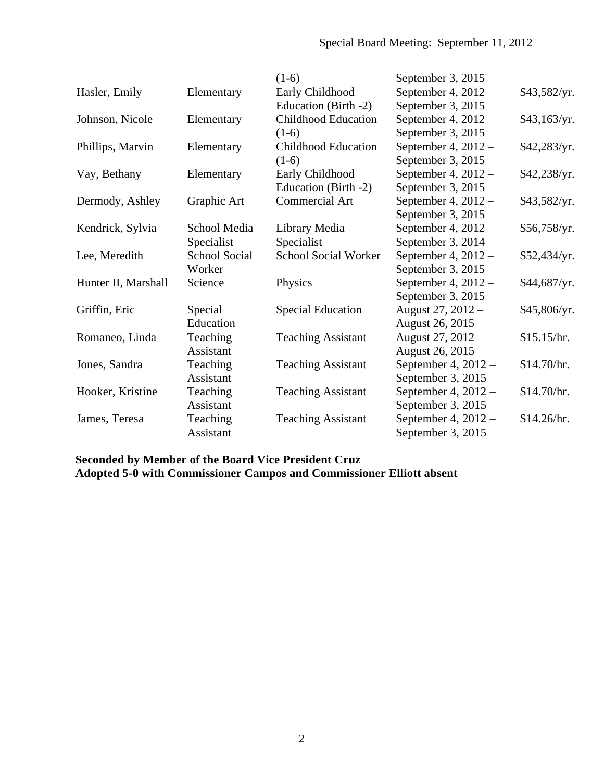|                     |               | $(1-6)$                     | September 3, 2015     |              |
|---------------------|---------------|-----------------------------|-----------------------|--------------|
| Hasler, Emily       | Elementary    | Early Childhood             | September 4, $2012 -$ | \$43,582/yr. |
|                     |               | Education (Birth -2)        | September 3, 2015     |              |
| Johnson, Nicole     | Elementary    | <b>Childhood Education</b>  | September 4, 2012 -   | \$43,163/yr. |
|                     |               | $(1-6)$                     | September 3, 2015     |              |
| Phillips, Marvin    | Elementary    | Childhood Education         | September 4, $2012 -$ | \$42,283/yr. |
|                     |               | $(1-6)$                     | September 3, 2015     |              |
| Vay, Bethany        | Elementary    | Early Childhood             | September 4, $2012 -$ | \$42,238/yr. |
|                     |               | Education (Birth -2)        | September 3, 2015     |              |
| Dermody, Ashley     | Graphic Art   | <b>Commercial Art</b>       | September 4, $2012 -$ | \$43,582/yr. |
|                     |               |                             | September 3, 2015     |              |
| Kendrick, Sylvia    | School Media  | Library Media               | September 4, $2012 -$ | \$56,758/yr. |
|                     | Specialist    | Specialist                  | September 3, 2014     |              |
| Lee, Meredith       | School Social | <b>School Social Worker</b> | September 4, $2012 -$ | \$52,434/yr. |
|                     | Worker        |                             | September 3, 2015     |              |
| Hunter II, Marshall | Science       | Physics                     | September 4, 2012 -   | \$44,687/yr. |
|                     |               |                             | September 3, 2015     |              |
| Griffin, Eric       | Special       | <b>Special Education</b>    | August 27, 2012 -     | \$45,806/yr. |
|                     | Education     |                             | August 26, 2015       |              |
| Romaneo, Linda      | Teaching      | <b>Teaching Assistant</b>   | August 27, 2012 -     | \$15.15/hr.  |
|                     | Assistant     |                             | August 26, 2015       |              |
| Jones, Sandra       | Teaching      | <b>Teaching Assistant</b>   | September 4, $2012 -$ | \$14.70/hr.  |
|                     | Assistant     |                             | September 3, 2015     |              |
| Hooker, Kristine    | Teaching      | <b>Teaching Assistant</b>   | September 4, $2012 -$ | \$14.70/hr.  |
|                     | Assistant     |                             | September 3, 2015     |              |
| James, Teresa       | Teaching      | <b>Teaching Assistant</b>   | September 4, $2012 -$ | \$14.26/hr.  |
|                     | Assistant     |                             | September 3, 2015     |              |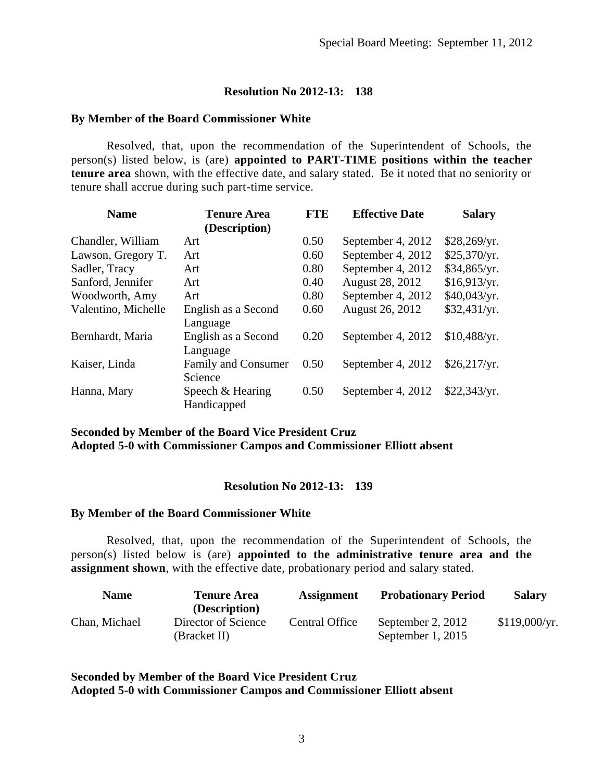#### **By Member of the Board Commissioner White**

Resolved, that, upon the recommendation of the Superintendent of Schools, the person(s) listed below, is (are) **appointed to PART-TIME positions within the teacher tenure area** shown, with the effective date, and salary stated. Be it noted that no seniority or tenure shall accrue during such part-time service.

| <b>Name</b>         | <b>Tenure Area</b>  | <b>FTE</b> | <b>Effective Date</b> | <b>Salary</b> |
|---------------------|---------------------|------------|-----------------------|---------------|
|                     | (Description)       |            |                       |               |
| Chandler, William   | Art                 | 0.50       | September 4, 2012     | \$28,269/yr.  |
| Lawson, Gregory T.  | Art                 | 0.60       | September 4, 2012     | \$25,370/yr.  |
| Sadler, Tracy       | Art                 | 0.80       | September 4, 2012     | \$34,865/yr.  |
| Sanford, Jennifer   | Art                 | 0.40       | August 28, 2012       | \$16,913/yr.  |
| Woodworth, Amy      | Art                 | 0.80       | September 4, 2012     | \$40,043/yr.  |
| Valentino, Michelle | English as a Second | 0.60       | August 26, 2012       | \$32,431/yr.  |
|                     | Language            |            |                       |               |
| Bernhardt, Maria    | English as a Second | 0.20       | September 4, 2012     | \$10,488/yr.  |
|                     | Language            |            |                       |               |
| Kaiser, Linda       | Family and Consumer | 0.50       | September 4, 2012     | \$26,217/yr.  |
|                     | Science             |            |                       |               |
| Hanna, Mary         | Speech & Hearing    | 0.50       | September 4, 2012     | \$22,343/yr.  |
|                     | Handicapped         |            |                       |               |

## **Seconded by Member of the Board Vice President Cruz Adopted 5-0 with Commissioner Campos and Commissioner Elliott absent**

#### **Resolution No 2012-13: 139**

#### **By Member of the Board Commissioner White**

Resolved, that, upon the recommendation of the Superintendent of Schools, the person(s) listed below is (are) **appointed to the administrative tenure area and the assignment shown**, with the effective date, probationary period and salary stated.

| <b>Name</b>   | <b>Tenure Area</b>                                   | <b>Assignment</b> | <b>Probationary Period</b>                   | <b>Salary</b> |
|---------------|------------------------------------------------------|-------------------|----------------------------------------------|---------------|
| Chan, Michael | (Description)<br>Director of Science<br>(Bracket II) | Central Office    | September 2, $2012 -$<br>September 1, $2015$ | \$119,000/yr. |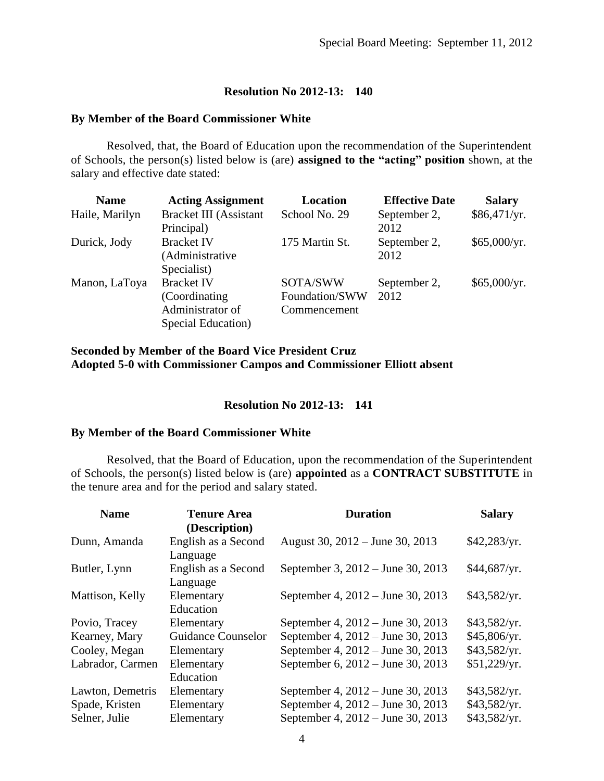#### **By Member of the Board Commissioner White**

Resolved, that, the Board of Education upon the recommendation of the Superintendent of Schools, the person(s) listed below is (are) **assigned to the "acting" position** shown, at the salary and effective date stated:

| <b>Name</b>    | <b>Acting Assignment</b> | <b>Location</b> | <b>Effective Date</b> | <b>Salary</b> |
|----------------|--------------------------|-----------------|-----------------------|---------------|
| Haile, Marilyn | Bracket III (Assistant   | School No. 29   | September 2,          | \$86,471/yr.  |
|                | Principal)               |                 | 2012                  |               |
| Durick, Jody   | <b>Bracket IV</b>        | 175 Martin St.  | September 2,          | \$65,000/yr.  |
|                | (Administrative          |                 | 2012                  |               |
|                | Specialist)              |                 |                       |               |
| Manon, LaToya  | <b>Bracket IV</b>        | SOTA/SWW        | September 2,          | \$65,000/yr.  |
|                | (Coordinating)           | Foundation/SWW  | 2012                  |               |
|                | Administrator of         | Commencement    |                       |               |
|                | Special Education)       |                 |                       |               |

#### **Seconded by Member of the Board Vice President Cruz Adopted 5-0 with Commissioner Campos and Commissioner Elliott absent**

## **Resolution No 2012-13: 141**

#### **By Member of the Board Commissioner White**

Resolved, that the Board of Education, upon the recommendation of the Superintendent of Schools, the person(s) listed below is (are) **appointed** as a **CONTRACT SUBSTITUTE** in the tenure area and for the period and salary stated.

| <b>Name</b>      | <b>Tenure Area</b><br>(Description) | <b>Duration</b>                   | <b>Salary</b> |
|------------------|-------------------------------------|-----------------------------------|---------------|
| Dunn, Amanda     | English as a Second                 | August 30, 2012 – June 30, 2013   | \$42,283/yr.  |
| Butler, Lynn     | Language<br>English as a Second     | September 3, 2012 – June 30, 2013 | \$44,687/yr.  |
| Mattison, Kelly  | Language<br>Elementary<br>Education | September 4, 2012 – June 30, 2013 | \$43,582/yr.  |
| Povio, Tracey    | Elementary                          | September 4, 2012 – June 30, 2013 | \$43,582/yr.  |
| Kearney, Mary    | <b>Guidance Counselor</b>           | September 4, 2012 – June 30, 2013 | \$45,806/yr.  |
| Cooley, Megan    | Elementary                          | September 4, 2012 – June 30, 2013 | \$43,582/yr.  |
| Labrador, Carmen | Elementary                          | September 6, 2012 – June 30, 2013 | \$51,229/yr.  |
|                  | Education                           |                                   |               |
| Lawton, Demetris | Elementary                          | September 4, 2012 – June 30, 2013 | \$43,582/yr.  |
| Spade, Kristen   | Elementary                          | September 4, 2012 – June 30, 2013 | \$43,582/yr.  |
| Selner, Julie    | Elementary                          | September 4, 2012 – June 30, 2013 | \$43,582/yr.  |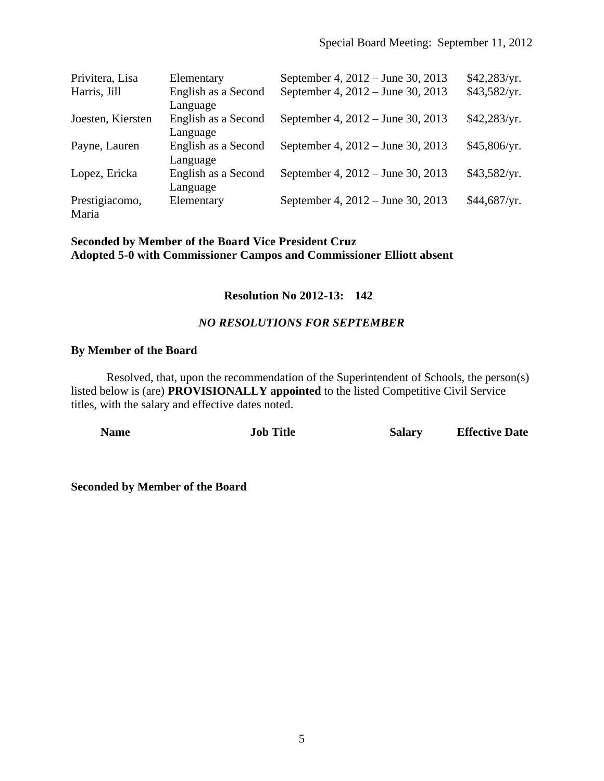| Privitera, Lisa   | Elementary          | September 4, 2012 – June 30, 2013 | \$42,283/yr. |
|-------------------|---------------------|-----------------------------------|--------------|
| Harris, Jill      | English as a Second | September 4, 2012 – June 30, 2013 | \$43,582/yr. |
|                   | Language            |                                   |              |
| Joesten, Kiersten | English as a Second | September 4, 2012 – June 30, 2013 | \$42,283/yr. |
|                   | Language            |                                   |              |
| Payne, Lauren     | English as a Second | September 4, 2012 – June 30, 2013 | \$45,806/yr. |
|                   | Language            |                                   |              |
| Lopez, Ericka     | English as a Second | September 4, 2012 – June 30, 2013 | \$43,582/yr. |
|                   | Language            |                                   |              |
| Prestigiacomo,    | Elementary          | September 4, 2012 – June 30, 2013 | \$44,687/yr. |
| Maria             |                     |                                   |              |

## **Seconded by Member of the Board Vice President Cruz Adopted 5-0 with Commissioner Campos and Commissioner Elliott absent**

# **Resolution No 2012-13: 142**

## *NO RESOLUTIONS FOR SEPTEMBER*

## **By Member of the Board**

Resolved, that, upon the recommendation of the Superintendent of Schools, the person(s) listed below is (are) **PROVISIONALLY appointed** to the listed Competitive Civil Service titles, with the salary and effective dates noted.

| <b>Name</b> | <b>Job Title</b> | <b>Salary</b> | <b>Effective Date</b> |
|-------------|------------------|---------------|-----------------------|
|             |                  |               |                       |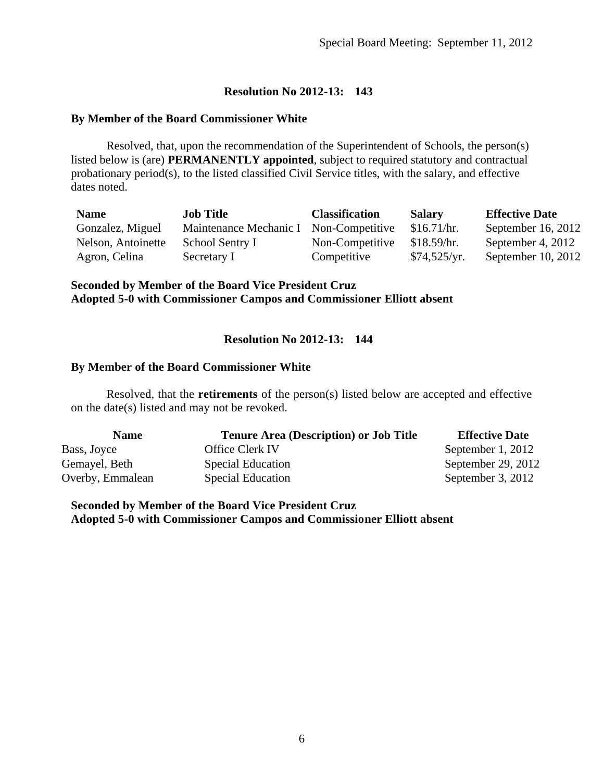#### **By Member of the Board Commissioner White**

Resolved, that, upon the recommendation of the Superintendent of Schools, the person(s) listed below is (are) **PERMANENTLY appointed**, subject to required statutory and contractual probationary period(s), to the listed classified Civil Service titles, with the salary, and effective dates noted.

| <b>Name</b>        | <b>Job Title</b>       | <b>Classification</b> | <b>Salary</b> | <b>Effective Date</b> |
|--------------------|------------------------|-----------------------|---------------|-----------------------|
| Gonzalez, Miguel   | Maintenance Mechanic I | Non-Competitive       | \$16.71/hr.   | September 16, 2012    |
| Nelson, Antoinette | School Sentry I        | Non-Competitive       | \$18.59/hr.   | September 4, 2012     |
| Agron, Celina      | Secretary I            | Competitive           | \$74,525/yr.  | September 10, $2012$  |

#### **Seconded by Member of the Board Vice President Cruz Adopted 5-0 with Commissioner Campos and Commissioner Elliott absent**

## **Resolution No 2012-13: 144**

#### **By Member of the Board Commissioner White**

Resolved, that the **retirements** of the person(s) listed below are accepted and effective on the date(s) listed and may not be revoked.

| <b>Name</b>      | <b>Tenure Area (Description) or Job Title</b> | <b>Effective Date</b> |
|------------------|-----------------------------------------------|-----------------------|
| Bass, Joyce      | <b>Office Clerk IV</b>                        | September 1, 2012     |
| Gemayel, Beth    | Special Education                             | September 29, 2012    |
| Overby, Emmalean | Special Education                             | September 3, 2012     |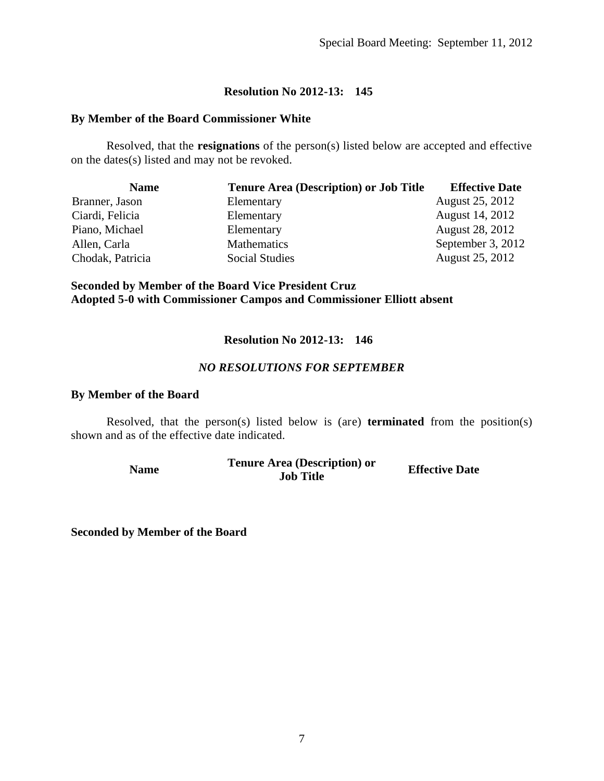#### **By Member of the Board Commissioner White**

Resolved, that the **resignations** of the person(s) listed below are accepted and effective on the dates(s) listed and may not be revoked.

| <b>Name</b>      | <b>Tenure Area (Description) or Job Title</b> | <b>Effective Date</b> |
|------------------|-----------------------------------------------|-----------------------|
| Branner, Jason   | Elementary                                    | August 25, 2012       |
| Ciardi, Felicia  | Elementary                                    | August 14, 2012       |
| Piano, Michael   | Elementary                                    | August 28, 2012       |
| Allen, Carla     | Mathematics                                   | September 3, 2012     |
| Chodak, Patricia | Social Studies                                | August 25, 2012       |

#### **Seconded by Member of the Board Vice President Cruz Adopted 5-0 with Commissioner Campos and Commissioner Elliott absent**

## **Resolution No 2012-13: 146**

#### *NO RESOLUTIONS FOR SEPTEMBER*

#### **By Member of the Board**

Resolved, that the person(s) listed below is (are) **terminated** from the position(s) shown and as of the effective date indicated.

| Name | <b>Tenure Area (Description) or</b> | <b>Effective Date</b> |
|------|-------------------------------------|-----------------------|
|      | <b>Job Title</b>                    |                       |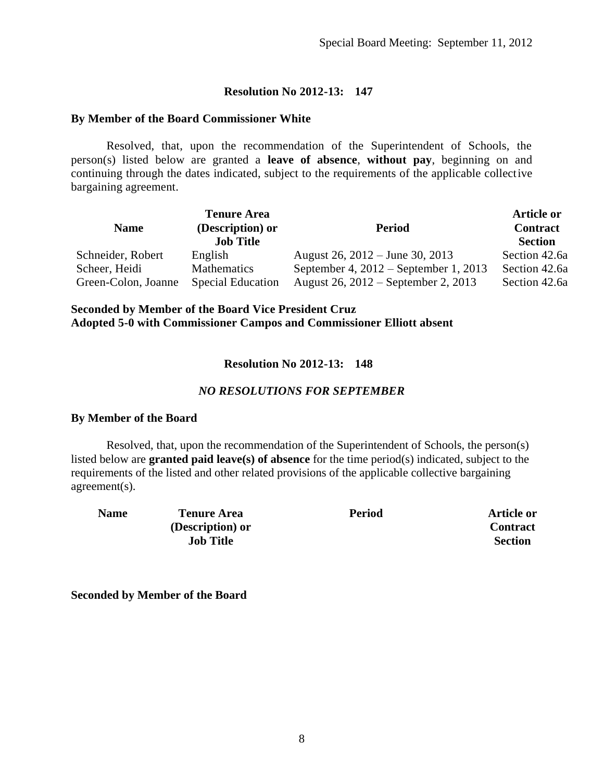#### **By Member of the Board Commissioner White**

Resolved, that, upon the recommendation of the Superintendent of Schools, the person(s) listed below are granted a **leave of absence**, **without pay**, beginning on and continuing through the dates indicated, subject to the requirements of the applicable collective bargaining agreement.

| <b>Name</b>                          | <b>Tenure Area</b><br>(Description) or<br><b>Job Title</b> | <b>Period</b>                                                                  | <b>Article or</b><br><b>Contract</b><br><b>Section</b> |
|--------------------------------------|------------------------------------------------------------|--------------------------------------------------------------------------------|--------------------------------------------------------|
| Schneider, Robert                    | English                                                    | August 26, $2012 -$ June 30, 2013                                              | Section 42.6a                                          |
| Scheer, Heidi<br>Green-Colon, Joanne | Mathematics<br><b>Special Education</b>                    | September 4, $2012$ – September 1, 2013<br>August 26, 2012 – September 2, 2013 | Section 42.6a<br>Section 42.6a                         |

## **Seconded by Member of the Board Vice President Cruz Adopted 5-0 with Commissioner Campos and Commissioner Elliott absent**

## **Resolution No 2012-13: 148**

## *NO RESOLUTIONS FOR SEPTEMBER*

#### **By Member of the Board**

Resolved, that, upon the recommendation of the Superintendent of Schools, the person(s) listed below are **granted paid leave(s) of absence** for the time period(s) indicated, subject to the requirements of the listed and other related provisions of the applicable collective bargaining agreement(s).

**Name Tenure Area (Description) or Job Title**

**Period Article or Contract Section**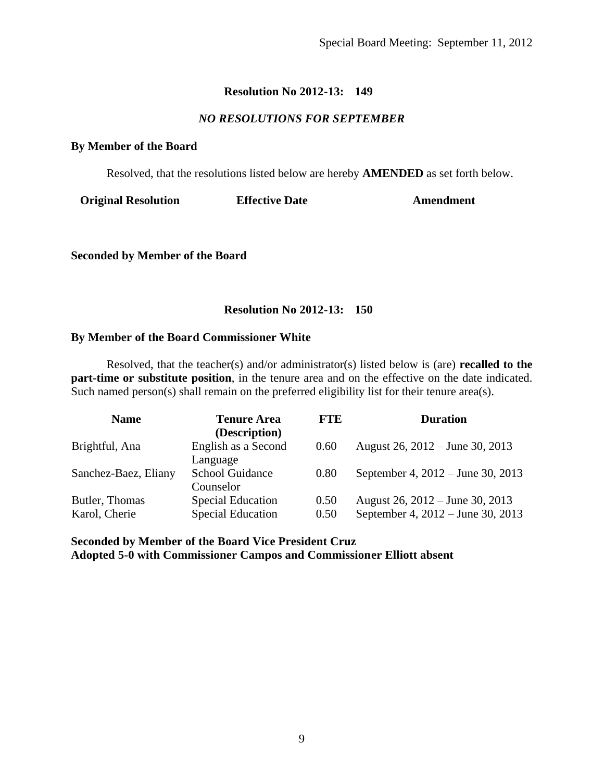## *NO RESOLUTIONS FOR SEPTEMBER*

#### **By Member of the Board**

Resolved, that the resolutions listed below are hereby **AMENDED** as set forth below.

**Original Resolution Effective Date Amendment**

**Seconded by Member of the Board**

## **Resolution No 2012-13: 150**

#### **By Member of the Board Commissioner White**

Resolved, that the teacher(s) and/or administrator(s) listed below is (are) **recalled to the part-time or substitute position**, in the tenure area and on the effective on the date indicated. Such named person(s) shall remain on the preferred eligibility list for their tenure area(s).

| <b>Name</b>                     | <b>Tenure Area</b><br>(Description)                  | <b>FTE</b>   | <b>Duration</b>                                                      |
|---------------------------------|------------------------------------------------------|--------------|----------------------------------------------------------------------|
| Brightful, Ana                  | English as a Second<br>Language                      | 0.60         | August 26, 2012 – June 30, 2013                                      |
| Sanchez-Baez, Eliany            | <b>School Guidance</b><br>Counselor                  | 0.80         | September 4, 2012 – June 30, 2013                                    |
| Butler, Thomas<br>Karol, Cherie | <b>Special Education</b><br><b>Special Education</b> | 0.50<br>0.50 | August 26, 2012 – June 30, 2013<br>September 4, 2012 – June 30, 2013 |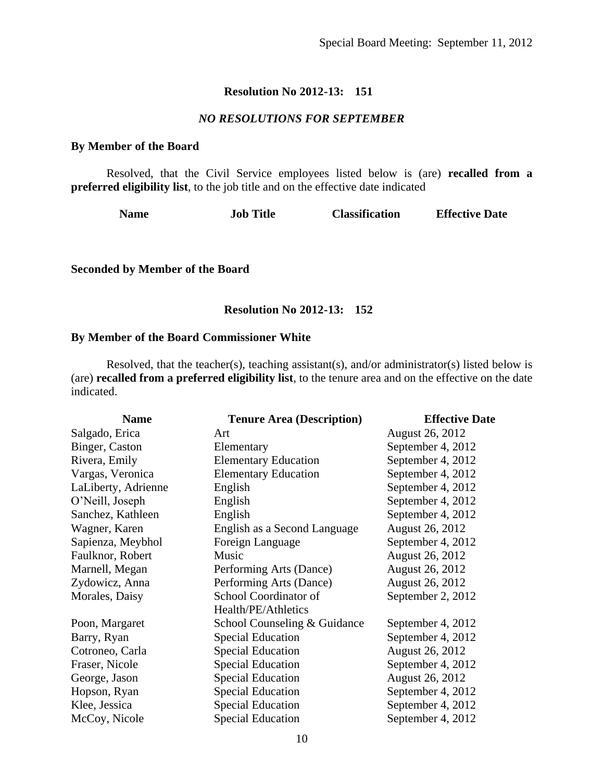## *NO RESOLUTIONS FOR SEPTEMBER*

#### **By Member of the Board**

Resolved, that the Civil Service employees listed below is (are) **recalled from a preferred eligibility list**, to the job title and on the effective date indicated

| <b>Job Title</b><br><b>Name</b> | <b>Classification</b> | <b>Effective Date</b> |
|---------------------------------|-----------------------|-----------------------|
|---------------------------------|-----------------------|-----------------------|

**Seconded by Member of the Board**

## **Resolution No 2012-13: 152**

#### **By Member of the Board Commissioner White**

Resolved, that the teacher(s), teaching assistant(s), and/or administrator(s) listed below is (are) **recalled from a preferred eligibility list**, to the tenure area and on the effective on the date indicated.

| <b>Name</b>         | <b>Tenure Area (Description)</b> | <b>Effective Date</b>  |
|---------------------|----------------------------------|------------------------|
| Salgado, Erica      | Art                              | <b>August 26, 2012</b> |
| Binger, Caston      | Elementary                       | September 4, 2012      |
| Rivera, Emily       | <b>Elementary Education</b>      | September 4, 2012      |
| Vargas, Veronica    | <b>Elementary Education</b>      | September 4, 2012      |
| LaLiberty, Adrienne | English                          | September 4, 2012      |
| O'Neill, Joseph     | English                          | September 4, 2012      |
| Sanchez, Kathleen   | English                          | September 4, 2012      |
| Wagner, Karen       | English as a Second Language     | August 26, 2012        |
| Sapienza, Meybhol   | Foreign Language                 | September 4, 2012      |
| Faulknor, Robert    | Music                            | August 26, 2012        |
| Marnell, Megan      | Performing Arts (Dance)          | August 26, 2012        |
| Zydowicz, Anna      | Performing Arts (Dance)          | August 26, 2012        |
| Morales, Daisy      | School Coordinator of            | September 2, 2012      |
|                     | Health/PE/Athletics              |                        |
| Poon, Margaret      | School Counseling & Guidance     | September 4, 2012      |
| Barry, Ryan         | <b>Special Education</b>         | September 4, 2012      |
| Cotroneo, Carla     | <b>Special Education</b>         | <b>August 26, 2012</b> |
| Fraser, Nicole      | <b>Special Education</b>         | September 4, 2012      |
| George, Jason       | <b>Special Education</b>         | August 26, 2012        |
| Hopson, Ryan        | <b>Special Education</b>         | September 4, 2012      |
| Klee, Jessica       | <b>Special Education</b>         | September 4, 2012      |
| McCoy, Nicole       | <b>Special Education</b>         | September 4, 2012      |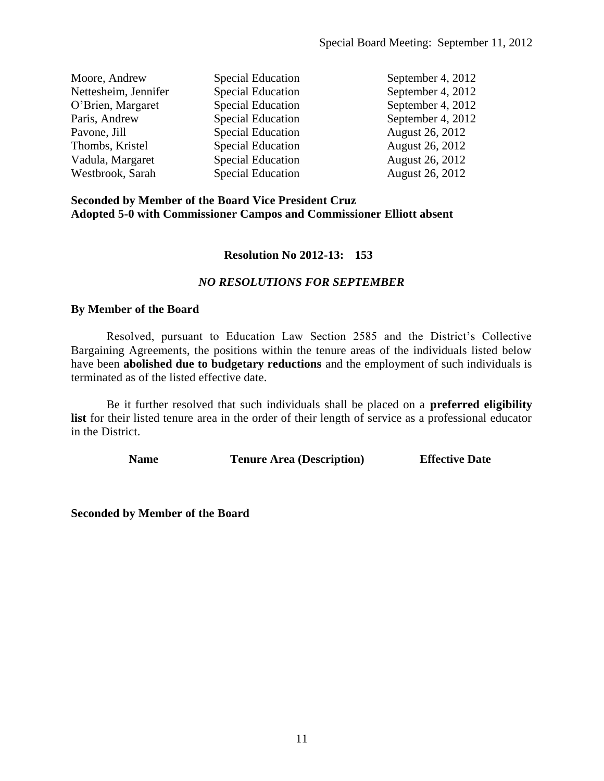| Moore, Andrew        | <b>Special Education</b> | September 4, 2012 |
|----------------------|--------------------------|-------------------|
| Nettesheim, Jennifer | <b>Special Education</b> | September 4, 2012 |
| O'Brien, Margaret    | <b>Special Education</b> | September 4, 2012 |
| Paris, Andrew        | <b>Special Education</b> | September 4, 2012 |
| Pavone, Jill         | <b>Special Education</b> | August 26, 2012   |
| Thombs, Kristel      | <b>Special Education</b> | August 26, 2012   |
| Vadula, Margaret     | <b>Special Education</b> | August 26, 2012   |
| Westbrook, Sarah     | <b>Special Education</b> | August 26, 2012   |

#### **Seconded by Member of the Board Vice President Cruz Adopted 5-0 with Commissioner Campos and Commissioner Elliott absent**

#### **Resolution No 2012-13: 153**

#### *NO RESOLUTIONS FOR SEPTEMBER*

#### **By Member of the Board**

Resolved, pursuant to Education Law Section 2585 and the District's Collective Bargaining Agreements, the positions within the tenure areas of the individuals listed below have been **abolished due to budgetary reductions** and the employment of such individuals is terminated as of the listed effective date.

Be it further resolved that such individuals shall be placed on a **preferred eligibility list** for their listed tenure area in the order of their length of service as a professional educator in the District.

**Name Tenure Area (Description) Effective Date**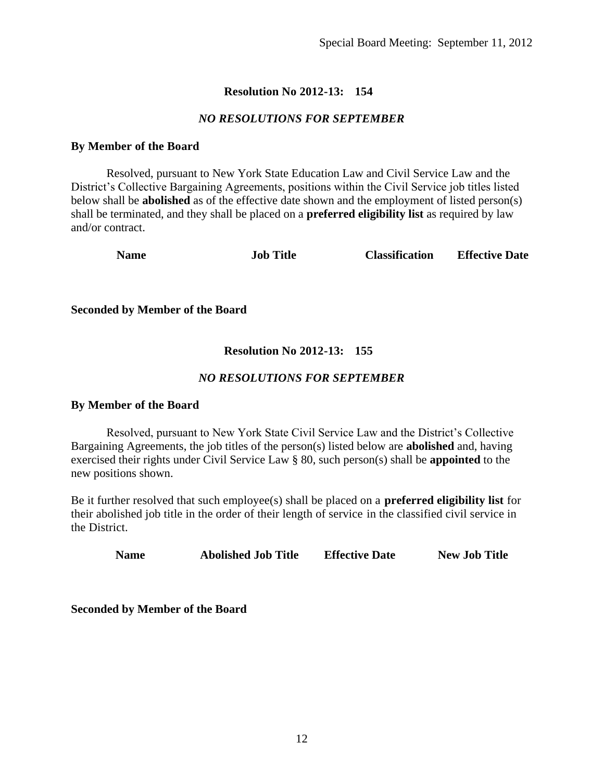## *NO RESOLUTIONS FOR SEPTEMBER*

#### **By Member of the Board**

Resolved, pursuant to New York State Education Law and Civil Service Law and the District's Collective Bargaining Agreements, positions within the Civil Service job titles listed below shall be **abolished** as of the effective date shown and the employment of listed person(s) shall be terminated, and they shall be placed on a **preferred eligibility list** as required by law and/or contract.

**Name Job Title Classification Effective Date**

**Seconded by Member of the Board**

## **Resolution No 2012-13: 155**

## *NO RESOLUTIONS FOR SEPTEMBER*

#### **By Member of the Board**

Resolved, pursuant to New York State Civil Service Law and the District's Collective Bargaining Agreements, the job titles of the person(s) listed below are **abolished** and, having exercised their rights under Civil Service Law § 80, such person(s) shall be **appointed** to the new positions shown.

Be it further resolved that such employee(s) shall be placed on a **preferred eligibility list** for their abolished job title in the order of their length of service in the classified civil service in the District.

**Name Abolished Job Title Effective Date New Job Title**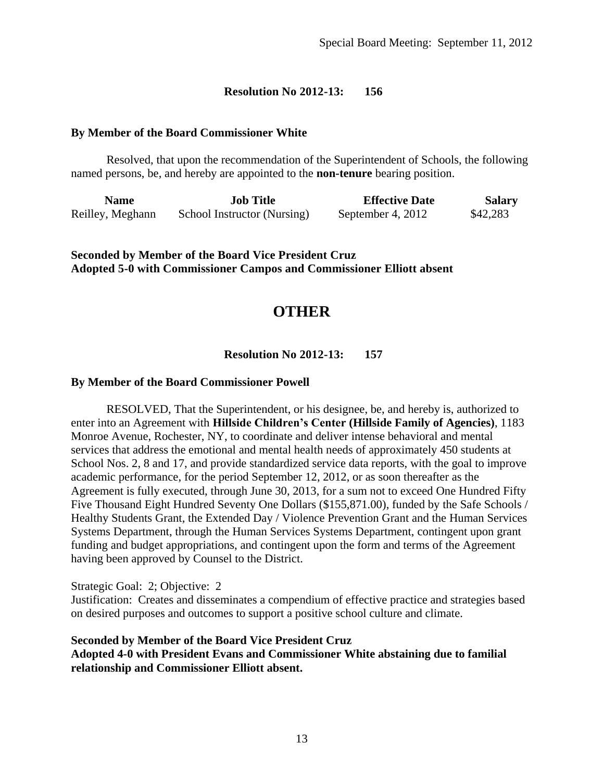#### **By Member of the Board Commissioner White**

Resolved, that upon the recommendation of the Superintendent of Schools, the following named persons, be, and hereby are appointed to the **non-tenure** bearing position.

| Name             | <b>Job Title</b>            | <b>Effective Date</b> | <b>Salary</b> |
|------------------|-----------------------------|-----------------------|---------------|
| Reilley, Meghann | School Instructor (Nursing) | September 4, 2012     | \$42,283      |

**Seconded by Member of the Board Vice President Cruz Adopted 5-0 with Commissioner Campos and Commissioner Elliott absent**

# **OTHER**

**Resolution No 2012-13: 157**

#### **By Member of the Board Commissioner Powell**

RESOLVED, That the Superintendent, or his designee, be, and hereby is, authorized to enter into an Agreement with **Hillside Children's Center (Hillside Family of Agencies)**, 1183 Monroe Avenue, Rochester, NY, to coordinate and deliver intense behavioral and mental services that address the emotional and mental health needs of approximately 450 students at School Nos. 2, 8 and 17, and provide standardized service data reports, with the goal to improve academic performance, for the period September 12, 2012, or as soon thereafter as the Agreement is fully executed, through June 30, 2013, for a sum not to exceed One Hundred Fifty Five Thousand Eight Hundred Seventy One Dollars (\$155,871.00), funded by the Safe Schools / Healthy Students Grant, the Extended Day / Violence Prevention Grant and the Human Services Systems Department, through the Human Services Systems Department, contingent upon grant funding and budget appropriations, and contingent upon the form and terms of the Agreement having been approved by Counsel to the District.

#### Strategic Goal: 2; Objective: 2

Justification: Creates and disseminates a compendium of effective practice and strategies based on desired purposes and outcomes to support a positive school culture and climate.

## **Seconded by Member of the Board Vice President Cruz Adopted 4-0 with President Evans and Commissioner White abstaining due to familial relationship and Commissioner Elliott absent.**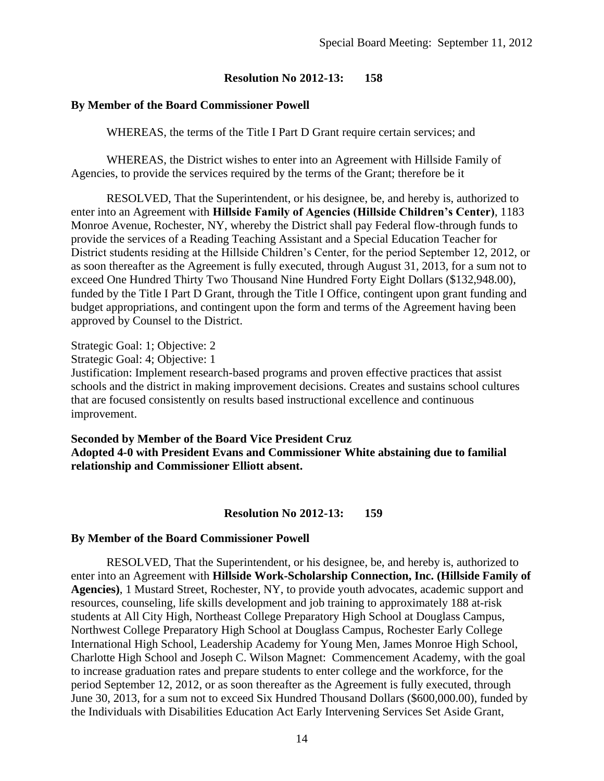## **By Member of the Board Commissioner Powell**

WHEREAS, the terms of the Title I Part D Grant require certain services; and

WHEREAS, the District wishes to enter into an Agreement with Hillside Family of Agencies, to provide the services required by the terms of the Grant; therefore be it

RESOLVED, That the Superintendent, or his designee, be, and hereby is, authorized to enter into an Agreement with **Hillside Family of Agencies (Hillside Children's Center)**, 1183 Monroe Avenue, Rochester, NY, whereby the District shall pay Federal flow-through funds to provide the services of a Reading Teaching Assistant and a Special Education Teacher for District students residing at the Hillside Children's Center, for the period September 12, 2012, or as soon thereafter as the Agreement is fully executed, through August 31, 2013, for a sum not to exceed One Hundred Thirty Two Thousand Nine Hundred Forty Eight Dollars (\$132,948.00), funded by the Title I Part D Grant, through the Title I Office, contingent upon grant funding and budget appropriations, and contingent upon the form and terms of the Agreement having been approved by Counsel to the District.

Strategic Goal: 1; Objective: 2

Strategic Goal: 4; Objective: 1

Justification: Implement research-based programs and proven effective practices that assist schools and the district in making improvement decisions. Creates and sustains school cultures that are focused consistently on results based instructional excellence and continuous improvement.

**Seconded by Member of the Board Vice President Cruz Adopted 4-0 with President Evans and Commissioner White abstaining due to familial relationship and Commissioner Elliott absent.**

#### **Resolution No 2012-13: 159**

#### **By Member of the Board Commissioner Powell**

RESOLVED, That the Superintendent, or his designee, be, and hereby is, authorized to enter into an Agreement with **Hillside Work-Scholarship Connection, Inc. (Hillside Family of Agencies)**, 1 Mustard Street, Rochester, NY, to provide youth advocates, academic support and resources, counseling, life skills development and job training to approximately 188 at-risk students at All City High, Northeast College Preparatory High School at Douglass Campus, Northwest College Preparatory High School at Douglass Campus, Rochester Early College International High School, Leadership Academy for Young Men, James Monroe High School, Charlotte High School and Joseph C. Wilson Magnet: Commencement Academy, with the goal to increase graduation rates and prepare students to enter college and the workforce, for the period September 12, 2012, or as soon thereafter as the Agreement is fully executed, through June 30, 2013, for a sum not to exceed Six Hundred Thousand Dollars (\$600,000.00), funded by the Individuals with Disabilities Education Act Early Intervening Services Set Aside Grant,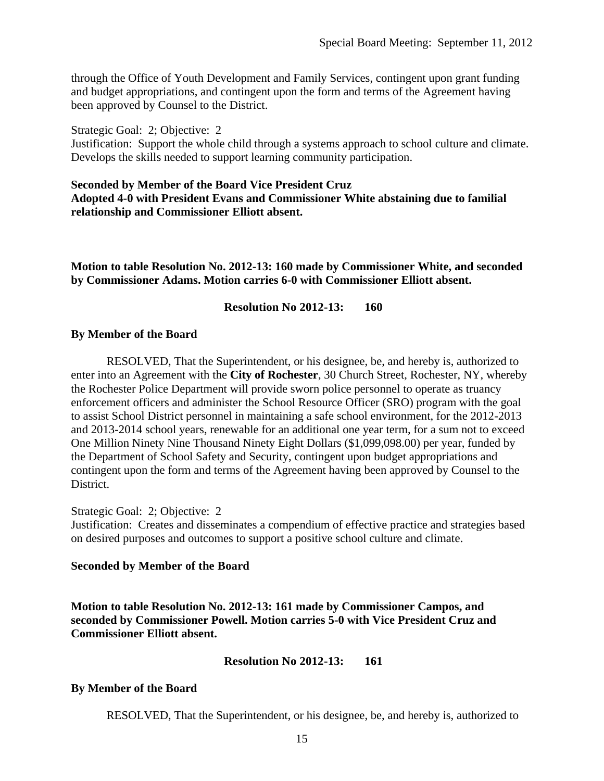through the Office of Youth Development and Family Services, contingent upon grant funding and budget appropriations, and contingent upon the form and terms of the Agreement having been approved by Counsel to the District.

Strategic Goal: 2; Objective: 2

Justification: Support the whole child through a systems approach to school culture and climate. Develops the skills needed to support learning community participation.

#### **Seconded by Member of the Board Vice President Cruz Adopted 4-0 with President Evans and Commissioner White abstaining due to familial relationship and Commissioner Elliott absent.**

**Motion to table Resolution No. 2012-13: 160 made by Commissioner White, and seconded by Commissioner Adams. Motion carries 6-0 with Commissioner Elliott absent.**

#### **Resolution No 2012-13: 160**

#### **By Member of the Board**

RESOLVED, That the Superintendent, or his designee, be, and hereby is, authorized to enter into an Agreement with the **City of Rochester**, 30 Church Street, Rochester, NY, whereby the Rochester Police Department will provide sworn police personnel to operate as truancy enforcement officers and administer the School Resource Officer (SRO) program with the goal to assist School District personnel in maintaining a safe school environment, for the 2012-2013 and 2013-2014 school years, renewable for an additional one year term, for a sum not to exceed One Million Ninety Nine Thousand Ninety Eight Dollars (\$1,099,098.00) per year, funded by the Department of School Safety and Security, contingent upon budget appropriations and contingent upon the form and terms of the Agreement having been approved by Counsel to the District.

Strategic Goal: 2; Objective: 2

Justification: Creates and disseminates a compendium of effective practice and strategies based on desired purposes and outcomes to support a positive school culture and climate.

#### **Seconded by Member of the Board**

**Motion to table Resolution No. 2012-13: 161 made by Commissioner Campos, and seconded by Commissioner Powell. Motion carries 5-0 with Vice President Cruz and Commissioner Elliott absent.**

#### **Resolution No 2012-13: 161**

#### **By Member of the Board**

RESOLVED, That the Superintendent, or his designee, be, and hereby is, authorized to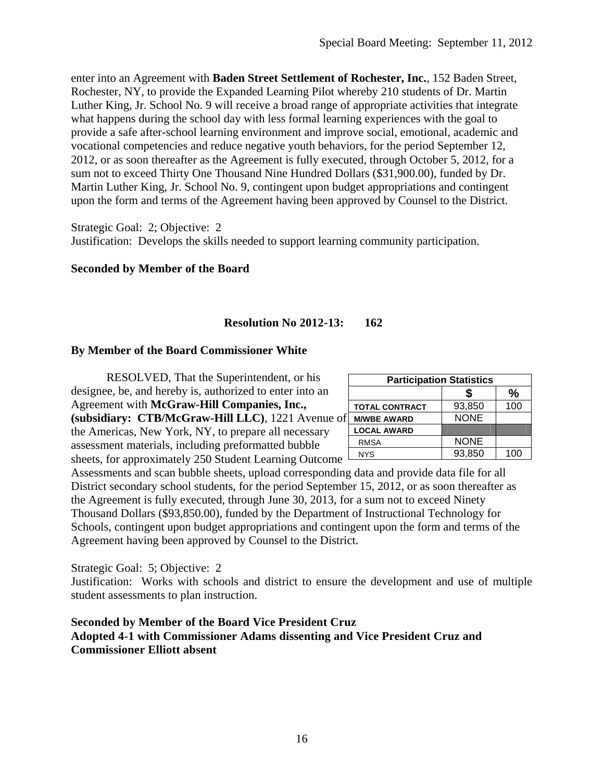enter into an Agreement with **Baden Street Settlement of Rochester, Inc.**, 152 Baden Street, Rochester, NY, to provide the Expanded Learning Pilot whereby 210 students of Dr. Martin Luther King, Jr. School No. 9 will receive a broad range of appropriate activities that integrate what happens during the school day with less formal learning experiences with the goal to provide a safe after-school learning environment and improve social, emotional, academic and vocational competencies and reduce negative youth behaviors, for the period September 12, 2012, or as soon thereafter as the Agreement is fully executed, through October 5, 2012, for a sum not to exceed Thirty One Thousand Nine Hundred Dollars (\$31,900.00), funded by Dr. Martin Luther King, Jr. School No. 9, contingent upon budget appropriations and contingent upon the form and terms of the Agreement having been approved by Counsel to the District.

Strategic Goal: 2; Objective: 2 Justification: Develops the skills needed to support learning community participation.

## **Seconded by Member of the Board**

## **Resolution No 2012-13: 162**

#### **By Member of the Board Commissioner White**

RESOLVED, That the Superintendent, or his designee, be, and hereby is, authorized to enter into an Agreement with **McGraw-Hill Companies, Inc., (subsidiary: CTB/McGraw-Hill LLC)**, 1221 Avenue of the Americas, New York, NY, to prepare all necessary assessment materials, including preformatted bubble sheets, for approximately 250 Student Learning Outcome

| <b>Participation Statistics</b> |             |               |
|---------------------------------|-------------|---------------|
|                                 |             | $\frac{0}{0}$ |
| <b>TOTAL CONTRACT</b>           | 93,850      | 100           |
| Ė.<br><b>M/WBE AWARD</b>        | <b>NONE</b> |               |
| <b>LOCAL AWARD</b>              |             |               |
| <b>RMSA</b>                     | <b>NONE</b> |               |
| <b>NYS</b>                      | 93,850      | 100           |

Assessments and scan bubble sheets, upload corresponding data and provide data file for all District secondary school students, for the period September 15, 2012, or as soon thereafter as the Agreement is fully executed, through June 30, 2013, for a sum not to exceed Ninety Thousand Dollars (\$93,850.00), funded by the Department of Instructional Technology for Schools, contingent upon budget appropriations and contingent upon the form and terms of the Agreement having been approved by Counsel to the District.

#### Strategic Goal: 5; Objective: 2

Justification: Works with schools and district to ensure the development and use of multiple student assessments to plan instruction.

## **Seconded by Member of the Board Vice President Cruz Adopted 4-1 with Commissioner Adams dissenting and Vice President Cruz and Commissioner Elliott absent**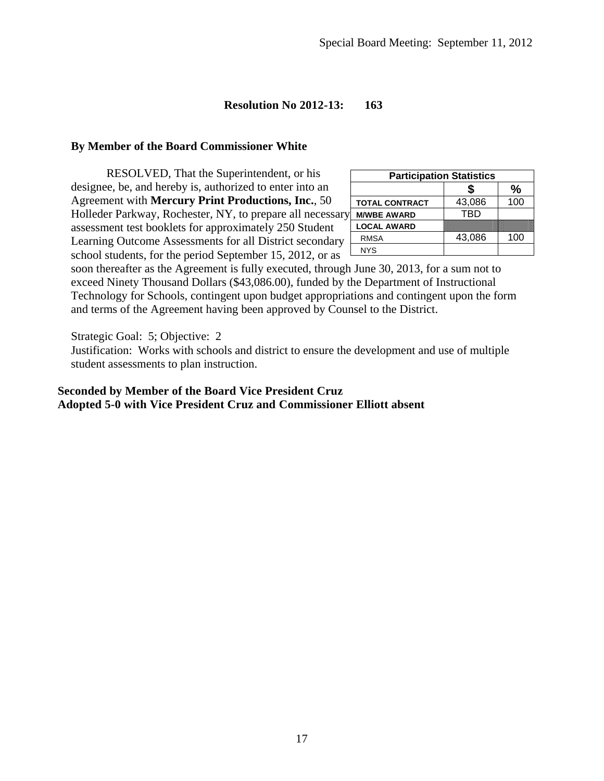## **By Member of the Board Commissioner White**

RESOLVED, That the Superintendent, or his designee, be, and hereby is, authorized to enter into an Agreement with **Mercury Print Productions, Inc.**, 50 Holleder Parkway, Rochester, NY, to prepare all necessary assessment test booklets for approximately 250 Student Learning Outcome Assessments for all District secondary school students, for the period September 15, 2012, or as

| <b>Participation Statistics</b> |            |      |
|---------------------------------|------------|------|
|                                 |            | $\%$ |
| <b>TOTAL CONTRACT</b>           | 43,086     | 100  |
| <b>M/WBE AWARD</b>              | <b>TRD</b> |      |
| <b>LOCAL AWARD</b>              |            |      |
| <b>RMSA</b>                     | 43,086     | 100  |
| <b>NYS</b>                      |            |      |

soon thereafter as the Agreement is fully executed, through June 30, 2013, for a sum not to exceed Ninety Thousand Dollars (\$43,086.00), funded by the Department of Instructional Technology for Schools, contingent upon budget appropriations and contingent upon the form and terms of the Agreement having been approved by Counsel to the District.

Strategic Goal: 5; Objective: 2

Justification: Works with schools and district to ensure the development and use of multiple student assessments to plan instruction.

## **Seconded by Member of the Board Vice President Cruz Adopted 5-0 with Vice President Cruz and Commissioner Elliott absent**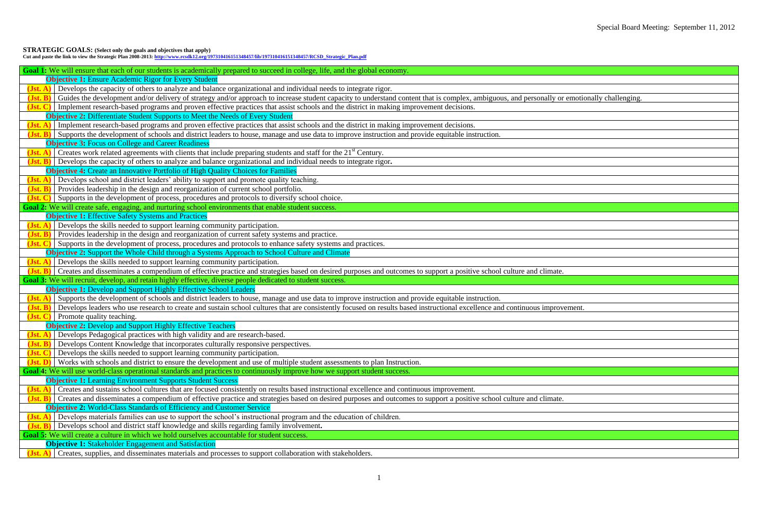# Special Board Meeting: September 11, 2012

| otionally challenging. |
|------------------------|
|                        |
|                        |
|                        |
|                        |
|                        |
|                        |
|                        |
|                        |
|                        |
|                        |
|                        |
|                        |
|                        |
|                        |
|                        |
|                        |
|                        |
|                        |
|                        |
|                        |
|                        |
|                        |
|                        |
|                        |
| ent.                   |
|                        |
|                        |
|                        |
|                        |
|                        |
|                        |
|                        |
|                        |
|                        |
|                        |
|                        |
|                        |
|                        |
|                        |
|                        |
|                        |
|                        |
|                        |
|                        |

**STRATEGIC GOALS: (Select only the goals and objectives that apply)**

**Cut and paste the link to view the Strategic Plan 2008-2013[: http://www.rcsdk12.org/197310416151348457/lib/197310416151348457/RCSD\\_Strategic\\_Plan.pdf](http://www.rcsdk12.org/197310416151348457/lib/197310416151348457/RCSD_Strategic_Plan.pdf)**

| Goal 1: We will ensure that each of our students is academically prepared to succeed in college, life, and the global economy.                                                                             |
|------------------------------------------------------------------------------------------------------------------------------------------------------------------------------------------------------------|
| <b>Objective 1:</b> Ensure Academic Rigor for Every Student                                                                                                                                                |
| Develops the capacity of others to analyze and balance organizational and individual needs to integrate rigor.<br>$Jst. A$                                                                                 |
| Guides the development and/or delivery of strategy and/or approach to increase student capacity to understand content that is complex, ambiguous, and personally or emotionally challenging.<br>$(Jst. B)$ |
| Implement research-based programs and proven effective practices that assist schools and the district in making improvement decisions.<br>(Jst. C)                                                         |
| <b>Objective 2:</b> Differentiate Student Supports to Meet the Needs of Every Student                                                                                                                      |
| Implement research-based programs and proven effective practices that assist schools and the district in making improvement decisions.<br>$(Jst. A)$                                                       |
| Supports the development of schools and district leaders to house, manage and use data to improve instruction and provide equitable instruction.<br>$(Jst. B)$                                             |
| <b>Objective 3: Focus on College and Career Readiness</b>                                                                                                                                                  |
| (Jst. A) Creates work related agreements with clients that include preparing students and staff for the $21st$ Century.                                                                                    |
| Develops the capacity of others to analyze and balance organizational and individual needs to integrate rigor.<br>$(Jst. B)$                                                                               |
| <b>Objective 4:</b> Create an Innovative Portfolio of High Quality Choices for Families                                                                                                                    |
| Develops school and district leaders' ability to support and promote quality teaching.<br>$(Jst. A)$                                                                                                       |
| Provides leadership in the design and reorganization of current school portfolio.<br>$(Jst. B)$                                                                                                            |
| Supports in the development of process, procedures and protocols to diversify school choice.<br>(Jst. C)                                                                                                   |
| Goal 2: We will create safe, engaging, and nurturing school environments that enable student success.                                                                                                      |
| <b>Objective 1:</b> Effective Safety Systems and Practices                                                                                                                                                 |
| Develops the skills needed to support learning community participation.<br>$Jst. A)$                                                                                                                       |
| Provides leadership in the design and reorganization of current safety systems and practice.<br>$(Jst. B)$                                                                                                 |
| Supports in the development of process, procedures and protocols to enhance safety systems and practices.<br>(Jst. C)                                                                                      |
| <b>Objective 2:</b> Support the Whole Child through a Systems Approach to School Culture and Climate                                                                                                       |
| $(\text{Jst. A})$ Develops the skills needed to support learning community participation.                                                                                                                  |
| Creates and disseminates a compendium of effective practice and strategies based on desired purposes and outcomes to support a positive school culture and climate.<br>$(Jst. B)$                          |
| Goal 3: We will recruit, develop, and retain highly effective, diverse people dedicated to student success.                                                                                                |
| <b>Objective 1: Develop and Support Highly Effective School Leaders</b>                                                                                                                                    |
| Supports the development of schools and district leaders to house, manage and use data to improve instruction and provide equitable instruction.<br>$(Jst. A)$                                             |
| Develops leaders who use research to create and sustain school cultures that are consistently focused on results based instructional excellence and continuous improvement.<br>$(Jst. B)$                  |
| (Jst. C)<br>Promote quality teaching.                                                                                                                                                                      |
| <b>Objective 2: Develop and Support Highly Effective Teachers</b>                                                                                                                                          |
| Develops Pedagogical practices with high validity and are research-based.<br>(Jst. A)                                                                                                                      |
| Develops Content Knowledge that incorporates culturally responsive perspectives.<br>$(Jst. B)$                                                                                                             |
| Develops the skills needed to support learning community participation.<br>(Jst. C)                                                                                                                        |
| Works with schools and district to ensure the development and use of multiple student assessments to plan Instruction.                                                                                     |
| Goal 4: We will use world-class operational standards and practices to continuously improve how we support student success.                                                                                |
| <b>Objective 1:</b> Learning Environment Supports Student Success                                                                                                                                          |
| Creates and sustains school cultures that are focused consistently on results based instructional excellence and continuous improvement.<br>$(Jst. A)$                                                     |
| Creates and disseminates a compendium of effective practice and strategies based on desired purposes and outcomes to support a positive school culture and climate.<br>$(Jst. B)$                          |
| <b>Objective 2: World-Class Standards of Efficiency and Customer Service</b>                                                                                                                               |
| Develops materials families can use to support the school's instructional program and the education of children.<br>$(Jst. A)$                                                                             |
| Develops school and district staff knowledge and skills regarding family involvement.<br>$(Jst. B)$                                                                                                        |
| Goal 5: We will create a culture in which we hold ourselves accountable for student success.                                                                                                               |
| <b>Objective 1: Stakeholder Engagement and Satisfaction</b>                                                                                                                                                |
| $(\mathbf{Jst. A})$ Creates, supplies, and disseminates materials and processes to support collaboration with stakeholders.                                                                                |